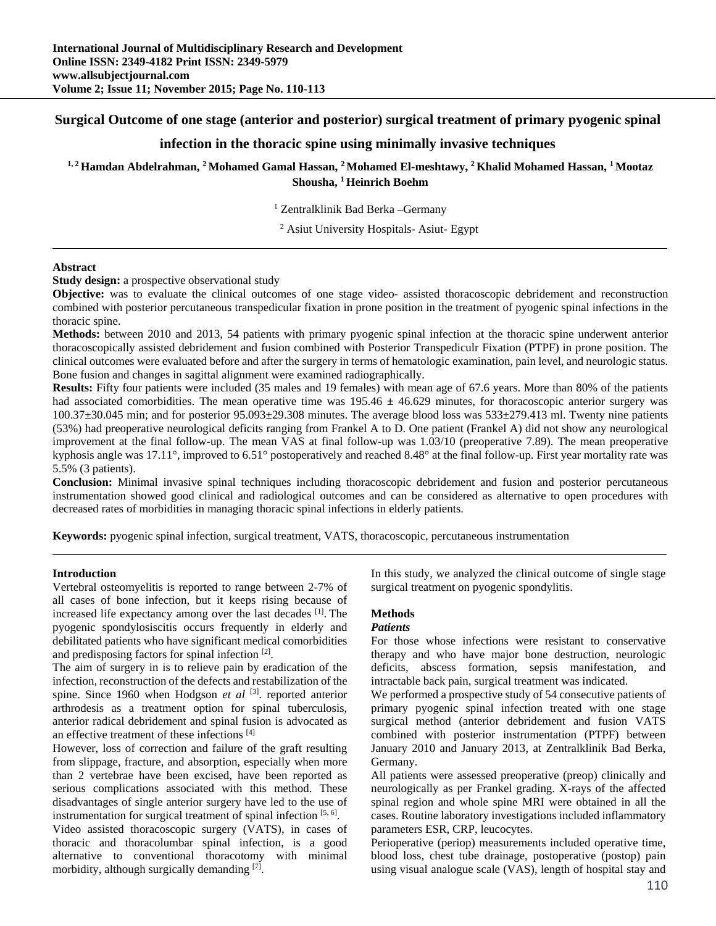# **Surgical Outcome of one stage (anterior and posterior) surgical treatment of primary pyogenic spinal**

# **infection in the thoracic spine using minimally invasive techniques**

**1, 2 Hamdan Abdelrahman, 2 Mohamed Gamal Hassan, 2 Mohamed El-meshtawy, 2 Khalid Mohamed Hassan, 1 Mootaz Shousha, 1 Heinrich Boehm** 

1 Zentralklinik Bad Berka –Germany

2 Asiut University Hospitals- Asiut- Egypt

#### **Abstract**

**Study design:** a prospective observational study

**Objective:** was to evaluate the clinical outcomes of one stage video- assisted thoracoscopic debridement and reconstruction combined with posterior percutaneous transpedicular fixation in prone position in the treatment of pyogenic spinal infections in the thoracic spine.

**Methods:** between 2010 and 2013, 54 patients with primary pyogenic spinal infection at the thoracic spine underwent anterior thoracoscopically assisted debridement and fusion combined with Posterior Transpediculr Fixation (PTPF) in prone position. The clinical outcomes were evaluated before and after the surgery in terms of hematologic examination, pain level, and neurologic status. Bone fusion and changes in sagittal alignment were examined radiographically.

**Results:** Fifty four patients were included (35 males and 19 females) with mean age of 67.6 years. More than 80% of the patients had associated comorbidities. The mean operative time was 195.46 **±** 46.629 minutes, for thoracoscopic anterior surgery was 100.37±30.045 min; and for posterior 95.093±29.308 minutes. The average blood loss was 533±279.413 ml. Twenty nine patients (53%) had preoperative neurological deficits ranging from Frankel A to D. One patient (Frankel A) did not show any neurological improvement at the final follow-up. The mean VAS at final follow-up was 1.03/10 (preoperative 7.89). The mean preoperative kyphosis angle was 17.11°, improved to 6.51° postoperatively and reached 8.48° at the final follow-up. First year mortality rate was 5.5% (3 patients).

**Conclusion:** Minimal invasive spinal techniques including thoracoscopic debridement and fusion and posterior percutaneous instrumentation showed good clinical and radiological outcomes and can be considered as alternative to open procedures with decreased rates of morbidities in managing thoracic spinal infections in elderly patients.

**Keywords:** pyogenic spinal infection, surgical treatment, VATS, thoracoscopic, percutaneous instrumentation

#### **Introduction**

Vertebral osteomyelitis is reported to range between 2-7% of all cases of bone infection, but it keeps rising because of increased life expectancy among over the last decades [1]. The pyogenic spondylosiscitis occurs frequently in elderly and debilitated patients who have significant medical comorbidities and predisposing factors for spinal infection [2].

The aim of surgery in is to relieve pain by eradication of the infection, reconstruction of the defects and restabilization of the spine. Since 1960 when Hodgson *et al* [3]. reported anterior arthrodesis as a treatment option for spinal tuberculosis, anterior radical debridement and spinal fusion is advocated as an effective treatment of these infections [4]

However, loss of correction and failure of the graft resulting from slippage, fracture, and absorption, especially when more than 2 vertebrae have been excised, have been reported as serious complications associated with this method. These disadvantages of single anterior surgery have led to the use of instrumentation for surgical treatment of spinal infection  $[5, 6]$ .

Video assisted thoracoscopic surgery (VATS), in cases of thoracic and thoracolumbar spinal infection, is a good alternative to conventional thoracotomy with minimal morbidity, although surgically demanding  $[7]$ .

In this study, we analyzed the clinical outcome of single stage surgical treatment on pyogenic spondylitis.

### **Methods**

#### *Patients*

For those whose infections were resistant to conservative therapy and who have major bone destruction, neurologic deficits, abscess formation, sepsis manifestation, and intractable back pain, surgical treatment was indicated.

We performed a prospective study of 54 consecutive patients of primary pyogenic spinal infection treated with one stage surgical method (anterior debridement and fusion VATS combined with posterior instrumentation (PTPF) between January 2010 and January 2013, at Zentralklinik Bad Berka, Germany.

All patients were assessed preoperative (preop) clinically and neurologically as per Frankel grading. X-rays of the affected spinal region and whole spine MRI were obtained in all the cases. Routine laboratory investigations included inflammatory parameters ESR, CRP, leucocytes.

Perioperative (periop) measurements included operative time, blood loss, chest tube drainage, postoperative (postop) pain using visual analogue scale (VAS), length of hospital stay and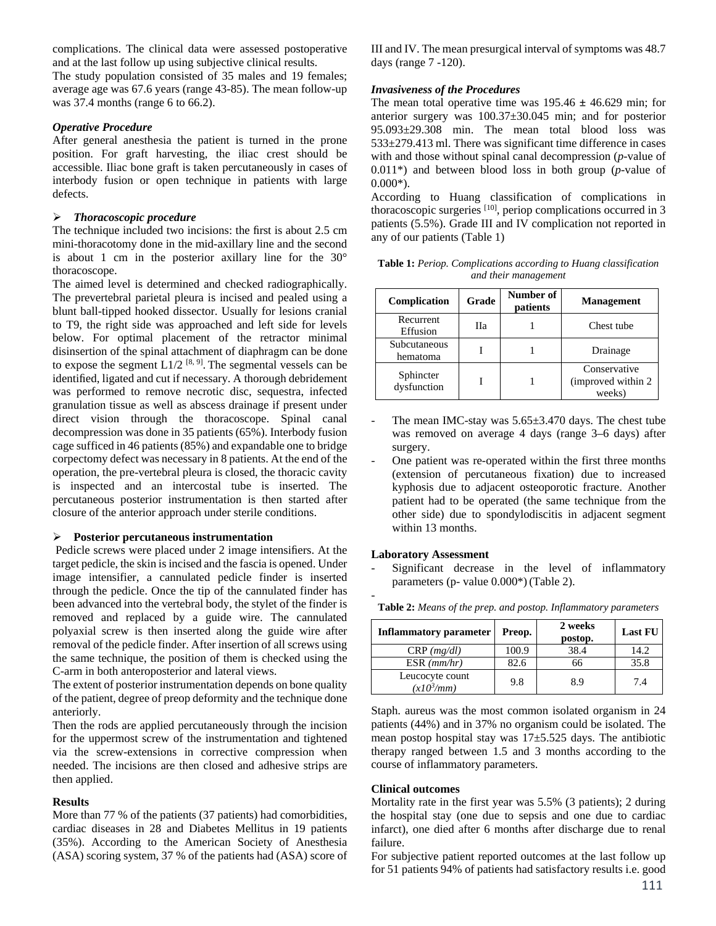complications. The clinical data were assessed postoperative and at the last follow up using subjective clinical results.

The study population consisted of 35 males and 19 females; average age was 67.6 years (range 43-85). The mean follow-up was 37.4 months (range 6 to 66.2).

### *Operative Procedure*

After general anesthesia the patient is turned in the prone position. For graft harvesting, the iliac crest should be accessible. Iliac bone graft is taken percutaneously in cases of interbody fusion or open technique in patients with large defects.

### *Thoracoscopic procedure*

The technique included two incisions: the first is about 2.5 cm mini-thoracotomy done in the mid-axillary line and the second is about 1 cm in the posterior axillary line for the 30° thoracoscope.

The aimed level is determined and checked radiographically. The prevertebral parietal pleura is incised and pealed using a blunt ball-tipped hooked dissector. Usually for lesions cranial to T9, the right side was approached and left side for levels below. For optimal placement of the retractor minimal disinsertion of the spinal attachment of diaphragm can be done to expose the segment  $L1/2$  [8, 9]. The segmental vessels can be identified, ligated and cut if necessary. A thorough debridement was performed to remove necrotic disc, sequestra, infected granulation tissue as well as abscess drainage if present under direct vision through the thoracoscope. Spinal canal decompression was done in 35 patients (65%). Interbody fusion cage sufficed in 46 patients (85%) and expandable one to bridge corpectomy defect was necessary in 8 patients. At the end of the operation, the pre-vertebral pleura is closed, the thoracic cavity is inspected and an intercostal tube is inserted. The percutaneous posterior instrumentation is then started after closure of the anterior approach under sterile conditions.

## **Posterior percutaneous instrumentation**

 Pedicle screws were placed under 2 image intensifiers. At the target pedicle, the skin is incised and the fascia is opened. Under image intensifier, a cannulated pedicle finder is inserted through the pedicle. Once the tip of the cannulated finder has been advanced into the vertebral body, the stylet of the finder is removed and replaced by a guide wire. The cannulated polyaxial screw is then inserted along the guide wire after removal of the pedicle finder. After insertion of all screws using the same technique, the position of them is checked using the C-arm in both anteroposterior and lateral views.

The extent of posterior instrumentation depends on bone quality of the patient, degree of preop deformity and the technique done anteriorly.

Then the rods are applied percutaneously through the incision for the uppermost screw of the instrumentation and tightened via the screw-extensions in corrective compression when needed. The incisions are then closed and adhesive strips are then applied.

### **Results**

More than 77 % of the patients (37 patients) had comorbidities, cardiac diseases in 28 and Diabetes Mellitus in 19 patients (35%). According to the American Society of Anesthesia (ASA) scoring system, 37 % of the patients had (ASA) score of III and IV. The mean presurgical interval of symptoms was 48.7 days (range 7 -120).

## *Invasiveness of the Procedures*

The mean total operative time was  $195.46 \pm 46.629$  min; for anterior surgery was 100.37±30.045 min; and for posterior 95.093±29.308 min. The mean total blood loss was 533±279.413 ml. There was significant time difference in cases with and those without spinal canal decompression (*p*-value of 0.011\*) and between blood loss in both group (*p*-value of  $0.000*$ ).

According to Huang classification of complications in thoracoscopic surgeries [10], periop complications occurred in 3 patients (5.5%). Grade III and IV complication not reported in any of our patients (Table 1)

**Table 1:** *Periop. Complications according to Huang classification and their management*

| Complication             | Grade | Number of<br>patients | <b>Management</b>                             |  |
|--------------------------|-------|-----------------------|-----------------------------------------------|--|
| Recurrent<br>Effusion    | Пa    |                       | Chest tube                                    |  |
| Subcutaneous<br>hematoma |       |                       | Drainage                                      |  |
| Sphincter<br>dysfunction |       |                       | Conservative<br>(improved within 2)<br>weeks) |  |

- The mean IMC-stay was  $5.65\pm3.470$  days. The chest tube was removed on average 4 days (range 3–6 days) after surgery.
- One patient was re-operated within the first three months (extension of percutaneous fixation) due to increased kyphosis due to adjacent osteoporotic fracture. Another patient had to be operated (the same technique from the other side) due to spondylodiscitis in adjacent segment within 13 months.

### **Laboratory Assessment**

-

Significant decrease in the level of inflammatory parameters (p- value 0.000\*)(Table 2).

| <b>Inflammatory parameter</b>   | Preop. | 2 weeks<br>postop. | <b>Last FU</b> |
|---------------------------------|--------|--------------------|----------------|
| $CRP$ ( <i>mg/dl</i> )          | 100.9  | 38.4               | 14.2           |
| $ESR$ ( $mm/hr$ )               | 82.6   | 66                 | 35.8           |
| Leucocyte count<br>$(x10^3/mm)$ | 9.8    | 8.9                | 7.4            |

**Table 2:** *Means of the prep. and postop. Inflammatory parameters*

Staph. aureus was the most common isolated organism in 24 patients (44%) and in 37% no organism could be isolated. The mean postop hospital stay was 17±5.525 days. The antibiotic therapy ranged between 1.5 and 3 months according to the course of inflammatory parameters.

### **Clinical outcomes**

Mortality rate in the first year was 5.5% (3 patients); 2 during the hospital stay (one due to sepsis and one due to cardiac infarct), one died after 6 months after discharge due to renal failure.

For subjective patient reported outcomes at the last follow up for 51 patients 94% of patients had satisfactory results i.e. good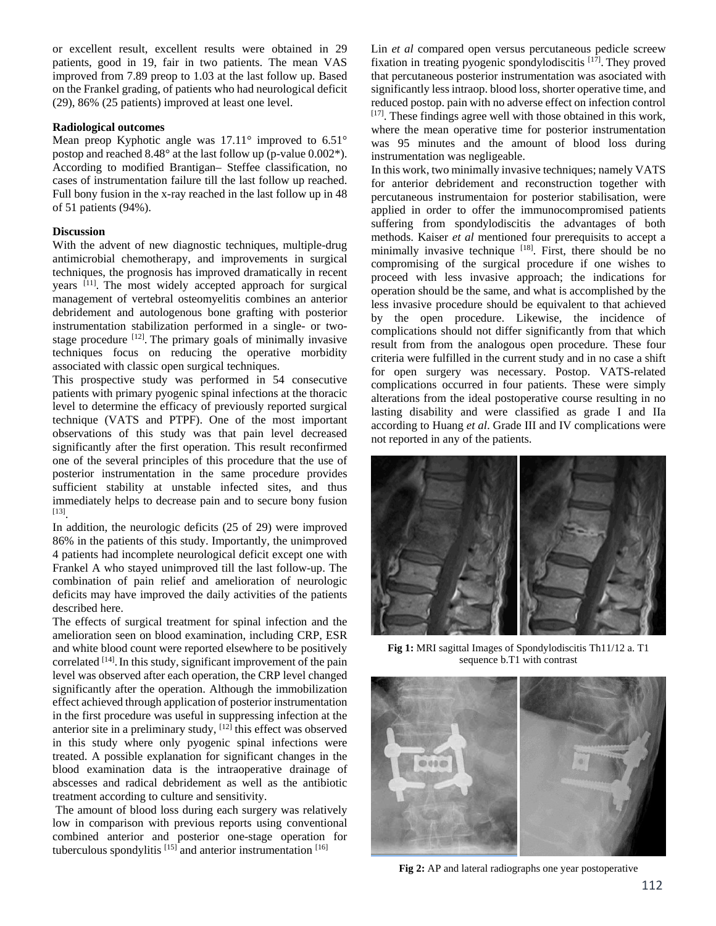or excellent result, excellent results were obtained in 29 patients, good in 19, fair in two patients. The mean VAS improved from 7.89 preop to 1.03 at the last follow up. Based on the Frankel grading, of patients who had neurological deficit (29), 86% (25 patients) improved at least one level.

#### **Radiological outcomes**

Mean preop Kyphotic angle was 17.11° improved to 6.51° postop and reached 8.48° at the last follow up (p-value 0.002\*). According to modified Brantigan– Steffee classification, no cases of instrumentation failure till the last follow up reached. Full bony fusion in the x-ray reached in the last follow up in 48 of 51 patients (94%).

## **Discussion**

With the advent of new diagnostic techniques, multiple-drug antimicrobial chemotherapy, and improvements in surgical techniques, the prognosis has improved dramatically in recent years [11]. The most widely accepted approach for surgical management of vertebral osteomyelitis combines an anterior debridement and autologenous bone grafting with posterior instrumentation stabilization performed in a single- or twostage procedure  $[12]$ . The primary goals of minimally invasive techniques focus on reducing the operative morbidity associated with classic open surgical techniques.

This prospective study was performed in 54 consecutive patients with primary pyogenic spinal infections at the thoracic level to determine the efficacy of previously reported surgical technique (VATS and PTPF). One of the most important observations of this study was that pain level decreased significantly after the first operation. This result reconfirmed one of the several principles of this procedure that the use of posterior instrumentation in the same procedure provides sufficient stability at unstable infected sites, and thus immediately helps to decrease pain and to secure bony fusion [13].

In addition, the neurologic deficits (25 of 29) were improved 86% in the patients of this study. Importantly, the unimproved 4 patients had incomplete neurological deficit except one with Frankel A who stayed unimproved till the last follow-up. The combination of pain relief and amelioration of neurologic deficits may have improved the daily activities of the patients described here.

The effects of surgical treatment for spinal infection and the amelioration seen on blood examination, including CRP, ESR and white blood count were reported elsewhere to be positively correlated [14]. In this study, significant improvement of the pain level was observed after each operation, the CRP level changed significantly after the operation. Although the immobilization effect achieved through application of posterior instrumentation in the first procedure was useful in suppressing infection at the anterior site in a preliminary study,  $[12]$  this effect was observed in this study where only pyogenic spinal infections were treated. A possible explanation for significant changes in the blood examination data is the intraoperative drainage of abscesses and radical debridement as well as the antibiotic treatment according to culture and sensitivity.

 The amount of blood loss during each surgery was relatively low in comparison with previous reports using conventional combined anterior and posterior one-stage operation for tuberculous spondylitis  $[15]$  and anterior instrumentation  $[16]$ 

Lin *et al* compared open versus percutaneous pedicle screew fixation in treating pyogenic spondylodiscitis [17]. They proved that percutaneous posterior instrumentation was asociated with significantly less intraop. blood loss, shorter operative time, and reduced postop. pain with no adverse effect on infection control [17]. These findings agree well with those obtained in this work, where the mean operative time for posterior instrumentation was 95 minutes and the amount of blood loss during instrumentation was negligeable.

In this work, two minimally invasive techniques; namely VATS for anterior debridement and reconstruction together with percutaneous instrumentaion for posterior stabilisation, were applied in order to offer the immunocompromised patients suffering from spondylodiscitis the advantages of both methods. Kaiser *et al* mentioned four prerequisits to accept a minimally invasive technique [18]. First, there should be no compromising of the surgical procedure if one wishes to proceed with less invasive approach; the indications for operation should be the same, and what is accomplished by the less invasive procedure should be equivalent to that achieved by the open procedure. Likewise, the incidence of complications should not differ significantly from that which result from from the analogous open procedure. These four criteria were fulfilled in the current study and in no case a shift for open surgery was necessary. Postop. VATS-related complications occurred in four patients. These were simply alterations from the ideal postoperative course resulting in no lasting disability and were classified as grade I and IIa according to Huang *et al*. Grade III and IV complications were not reported in any of the patients.



**Fig 1:** MRI sagittal Images of Spondylodiscitis Th11/12 a. T1 sequence b.T1 with contrast



**Fig 2:** AP and lateral radiographs one year postoperative